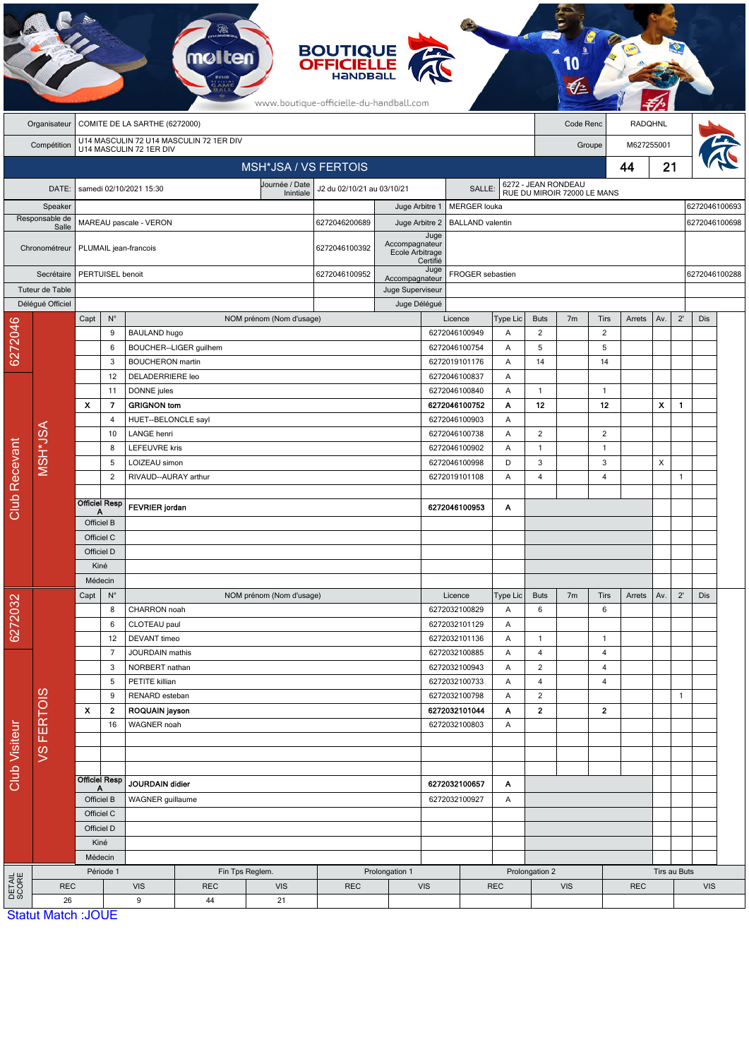|                      |                                 |                                                                    |                                                |                                                                                             | <b>molten</b> |                             | <b>BOUTIQUE<br/>OFFICIELLE</b><br>www.boutique-officielle-du-handball.com |                                    |                                |                                |                     |                     |                |                      |            |              |               |               |               |  |
|----------------------|---------------------------------|--------------------------------------------------------------------|------------------------------------------------|---------------------------------------------------------------------------------------------|---------------|-----------------------------|---------------------------------------------------------------------------|------------------------------------|--------------------------------|--------------------------------|---------------------|---------------------|----------------|----------------------|------------|--------------|---------------|---------------|---------------|--|
|                      | Organisateur                    | COMITE DE LA SARTHE (6272000)<br>Code Renc                         |                                                |                                                                                             |               |                             |                                                                           |                                    |                                |                                |                     | <b>RADQHNL</b>      |                |                      |            |              |               |               |               |  |
|                      | Compétition                     | U14 MASCULIN 72 U14 MASCULIN 72 1ER DIV<br>U14 MASCULIN 72 1ER DIV |                                                |                                                                                             |               |                             |                                                                           |                                    |                                |                                |                     |                     |                | M627255001<br>Groupe |            |              |               |               |               |  |
|                      |                                 |                                                                    |                                                |                                                                                             |               | <b>MSH*JSA / VS FERTOIS</b> |                                                                           |                                    |                                |                                |                     |                     | 44             |                      |            | 21           |               |               |               |  |
|                      | DATE:                           |                                                                    |                                                | samedi 02/10/2021 15:30                                                                     |               | Journée / Date<br>Inintiale | J2 du 02/10/21 au 03/10/21                                                |                                    |                                | SALLE:                         |                     | 6272 - JEAN RONDEAU |                |                      |            |              |               |               |               |  |
|                      | Speaker                         |                                                                    |                                                |                                                                                             |               |                             | Juge Arbitre 1<br><b>MERGER</b> louka                                     |                                    |                                | RUE DU MIROIR 72000 LE MANS    |                     |                     |                |                      |            |              | 6272046100693 |               |               |  |
|                      | Responsable de<br>Salle         |                                                                    |                                                | MAREAU pascale - VERON                                                                      |               |                             | 6272046200689                                                             | Juge Arbitre 2                     |                                | <b>BALLAND</b> valentin        |                     |                     |                |                      |            |              |               | 6272046100698 |               |  |
|                      | Chronométreur                   | PLUMAIL jean-francois                                              |                                                |                                                                                             |               |                             | 6272046100392                                                             | Accompagnateur<br>Ecole Arbitrage  | Juge                           |                                |                     |                     |                |                      |            |              |               |               |               |  |
| Secrétaire           |                                 | PERTUISEL benoit                                                   |                                                |                                                                                             |               |                             | 6272046100952                                                             |                                    | Certifié<br>Juge               | FROGER sebastien               |                     |                     |                |                      |            |              |               |               | 6272046100288 |  |
|                      | Tuteur de Table                 |                                                                    |                                                |                                                                                             |               |                             |                                                                           | Accompagnateur<br>Juge Superviseur |                                |                                |                     |                     |                |                      |            |              |               |               |               |  |
|                      | Délégué Officiel                |                                                                    |                                                |                                                                                             |               |                             | Juge Délégué                                                              |                                    |                                |                                |                     |                     |                |                      |            |              |               |               |               |  |
|                      |                                 | Capt                                                               | $\mathsf{N}^\circ$                             |                                                                                             |               | NOM prénom (Nom d'usage)    |                                                                           |                                    | Licence                        |                                | Type Lic            | <b>Buts</b>         | 7 <sub>m</sub> | <b>Tirs</b>          | Arrets     | Av.          | $2^{\prime}$  | Dis           |               |  |
| 6272046              |                                 |                                                                    | 9                                              | <b>BAULAND hugo</b>                                                                         |               |                             |                                                                           |                                    |                                | 6272046100949                  | Α                   | $\overline{c}$      |                | $\overline{2}$       |            |              |               |               |               |  |
|                      |                                 |                                                                    | 6<br>3                                         | BOUCHER--LIGER guilhem<br><b>BOUCHERON</b> martin<br><b>DELADERRIERE leo</b><br>DONNE jules |               |                             | 6272046100754<br>6272019101176<br>6272046100837<br>6272046100840          |                                    | A<br>Α                         | 5<br>14                        |                     | 5<br>14             |                |                      |            |              |               |               |               |  |
|                      |                                 |                                                                    | 12                                             |                                                                                             |               |                             |                                                                           |                                    | Α                              |                                |                     |                     |                |                      |            |              |               |               |               |  |
|                      |                                 |                                                                    | 11                                             |                                                                                             |               |                             |                                                                           |                                    | A                              | 1                              |                     | $\mathbf{1}$        |                |                      |            |              |               |               |               |  |
|                      |                                 | x                                                                  | 7                                              | <b>GRIGNON tom</b>                                                                          |               |                             |                                                                           |                                    |                                | 6272046100752                  | Α                   | 12                  |                | 12                   |            | X            | $\mathbf{1}$  |               |               |  |
|                      |                                 |                                                                    | 4                                              | HUET--BELONCLE sayl                                                                         |               |                             |                                                                           |                                    | 6272046100903                  |                                | Α                   |                     |                |                      |            |              |               |               |               |  |
|                      |                                 |                                                                    | 10                                             | LANGE henri                                                                                 |               |                             |                                                                           |                                    | 6272046100738                  |                                | Α                   | $\overline{2}$      |                | 2                    |            |              |               |               |               |  |
|                      | MSH*JSA                         |                                                                    | 8                                              | <b>LEFEUVRE kris</b><br>LOIZEAU simon                                                       |               |                             |                                                                           |                                    |                                | 6272046100902<br>Α             |                     | $\mathbf{1}$        |                | $\overline{1}$       |            |              |               |               |               |  |
|                      |                                 |                                                                    | 5<br>2                                         | RIVAUD--AURAY arthur                                                                        |               |                             |                                                                           |                                    |                                | 6272046100998<br>6272019101108 | D<br>Α              | 3<br>4              |                | 3<br>4               |            | X            | $\mathbf{1}$  |               |               |  |
| Club Recevant        |                                 |                                                                    |                                                |                                                                                             |               |                             |                                                                           |                                    |                                |                                |                     |                     |                |                      |            |              |               |               |               |  |
|                      |                                 |                                                                    | <b>Officiel Resp</b>                           | <b>FEVRIER</b> jordan                                                                       |               |                             |                                                                           |                                    | 6272046100953<br>Α             |                                |                     |                     |                |                      |            |              |               |               |               |  |
|                      |                                 | Officiel B                                                         |                                                |                                                                                             |               |                             |                                                                           |                                    |                                |                                |                     |                     |                |                      |            |              |               |               |               |  |
|                      |                                 | Officiel C                                                         |                                                |                                                                                             |               |                             |                                                                           |                                    |                                |                                |                     |                     |                |                      |            |              |               |               |               |  |
|                      |                                 | Officiel D                                                         |                                                |                                                                                             |               |                             |                                                                           |                                    |                                |                                |                     |                     |                |                      |            |              |               |               |               |  |
|                      |                                 | Kiné                                                               |                                                |                                                                                             |               |                             |                                                                           |                                    |                                |                                |                     |                     |                |                      |            |              |               |               |               |  |
|                      |                                 | Médecin<br>Capt<br>$N^{\circ}$                                     |                                                |                                                                                             |               | NOM prénom (Nom d'usage)    |                                                                           |                                    |                                | Licence                        |                     | <b>Buts</b>         | 7 <sub>m</sub> | Tirs                 | Arrets     | Av.          | $2^{\prime}$  | Dis           |               |  |
|                      |                                 |                                                                    | 8                                              | CHARRON noah                                                                                |               |                             |                                                                           |                                    |                                | 6272032100829                  | Type Lic<br>Α       | 6                   |                | 6                    |            |              |               |               |               |  |
| 6272032              |                                 |                                                                    | 6                                              | CLOTEAU paul                                                                                |               |                             |                                                                           |                                    |                                | 6272032101129                  | Α                   |                     |                |                      |            |              |               |               |               |  |
|                      |                                 |                                                                    | 12                                             | DEVANT timeo                                                                                |               |                             |                                                                           |                                    |                                | 6272032101136                  | Α                   | 1                   |                | $\mathbf{1}$         |            |              |               |               |               |  |
|                      |                                 |                                                                    | 7                                              | JOURDAIN mathis                                                                             |               |                             |                                                                           |                                    |                                | 6272032100885                  | A                   | 4                   |                | 4                    |            |              |               |               |               |  |
|                      |                                 |                                                                    | 3                                              | NORBERT nathan                                                                              |               |                             |                                                                           |                                    |                                | 6272032100943                  | Α                   | $\overline{c}$      |                | 4                    |            |              |               |               |               |  |
|                      |                                 |                                                                    | 5<br>9                                         | PETITE killian<br>RENARD esteban                                                            |               |                             |                                                                           |                                    | 6272032100733<br>6272032100798 | Α<br>Α                         | 4<br>$\overline{2}$ |                     | 4              |                      |            | $\mathbf{1}$ |               |               |               |  |
| <b>Club Visiteur</b> | VS FERTOIS                      | $\boldsymbol{\mathsf{x}}$                                          | 2                                              | ROQUAIN jayson                                                                              |               |                             |                                                                           |                                    |                                | 6272032101044                  | Α                   | $\bf 2$             |                | $\mathbf{2}$         |            |              |               |               |               |  |
|                      |                                 |                                                                    | 16                                             | WAGNER noah                                                                                 |               |                             |                                                                           |                                    | 6272032100803                  |                                | Α                   |                     |                |                      |            |              |               |               |               |  |
|                      |                                 |                                                                    |                                                |                                                                                             |               |                             |                                                                           |                                    |                                |                                |                     |                     |                |                      |            |              |               |               |               |  |
|                      |                                 |                                                                    |                                                |                                                                                             |               |                             |                                                                           |                                    |                                |                                |                     |                     |                |                      |            |              |               |               |               |  |
|                      |                                 |                                                                    |                                                |                                                                                             |               |                             |                                                                           |                                    |                                |                                |                     |                     |                |                      |            |              |               |               |               |  |
|                      |                                 | <b>Officiel Resp</b><br>Α<br>Officiel B                            |                                                | JOURDAIN didier                                                                             |               |                             |                                                                           |                                    | 6272032100657<br>Α             |                                |                     |                     |                |                      |            |              |               |               |               |  |
|                      |                                 |                                                                    |                                                | WAGNER guillaume                                                                            |               |                             |                                                                           |                                    | 6272032100927                  |                                | Α                   |                     |                |                      |            |              |               |               |               |  |
|                      |                                 | Officiel C<br>Officiel D                                           |                                                |                                                                                             |               |                             |                                                                           |                                    |                                |                                |                     |                     |                |                      |            |              |               |               |               |  |
|                      |                                 |                                                                    | Kiné                                           |                                                                                             |               |                             |                                                                           |                                    |                                |                                |                     |                     |                |                      |            |              |               |               |               |  |
|                      |                                 | Médecin                                                            |                                                |                                                                                             |               |                             |                                                                           |                                    |                                |                                |                     |                     |                |                      |            |              |               |               |               |  |
|                      |                                 |                                                                    | Période 1<br>Fin Tps Reglem.<br>Prolongation 1 |                                                                                             |               |                             |                                                                           |                                    |                                | Prolongation 2                 |                     |                     |                | Tirs au Buts         |            |              |               |               |               |  |
| DETAIL<br>SCORE      | <b>REC</b>                      |                                                                    |                                                | <b>VIS</b>                                                                                  | <b>REC</b>    | <b>VIS</b>                  | <b>REC</b>                                                                | <b>VIS</b>                         |                                |                                | <b>REC</b>          |                     | <b>VIS</b>     |                      | <b>REC</b> |              |               | <b>VIS</b>    |               |  |
|                      | 26<br><b>Statut Match: JOUE</b> |                                                                    |                                                | 21<br>9<br>44                                                                               |               |                             |                                                                           |                                    |                                |                                |                     |                     |                |                      |            |              |               |               |               |  |

**CA**